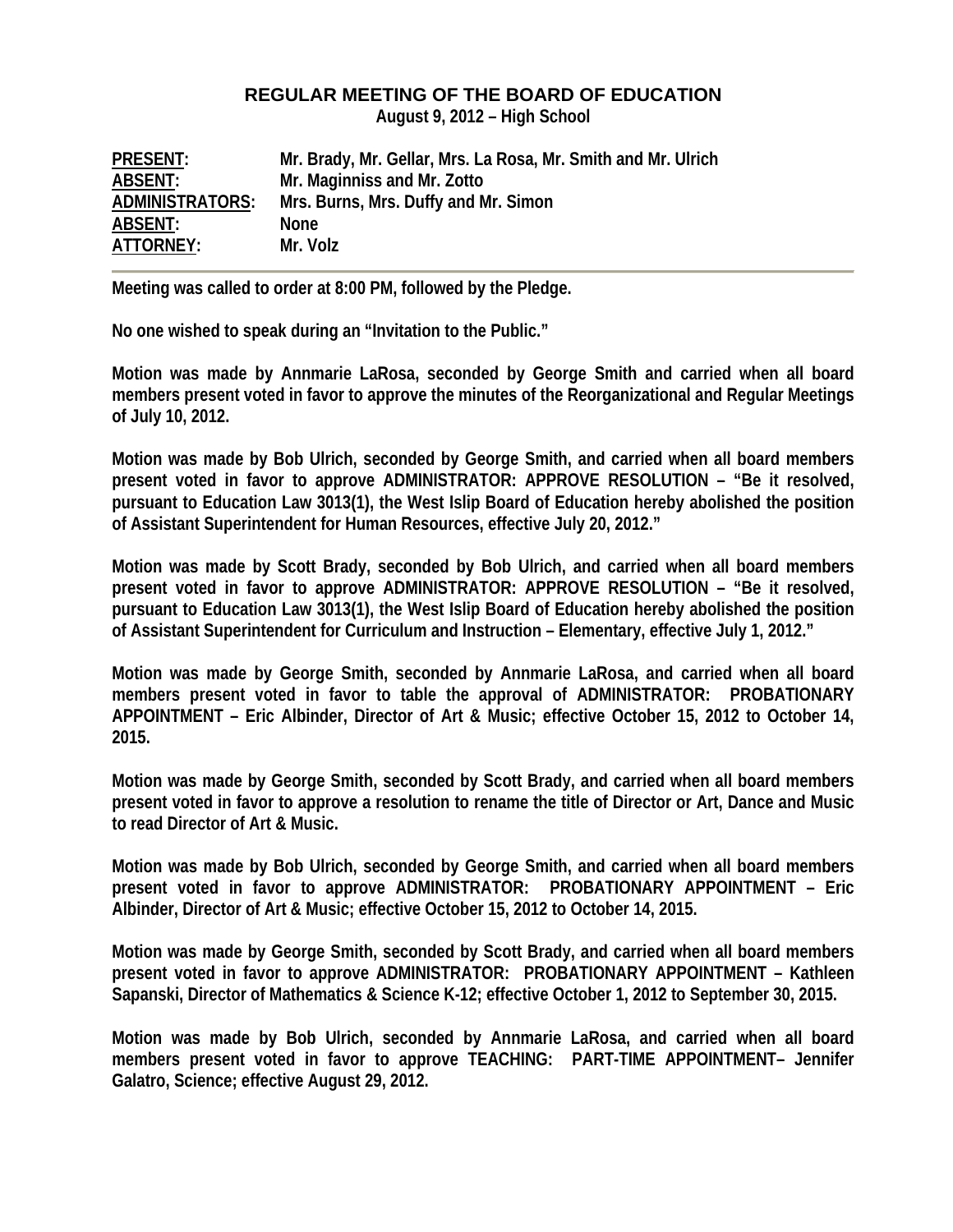## **REGULAR MEETING OF THE BOARD OF EDUCATION**

**August 9, 2012 – High School** 

| <b>PRESENT:</b>        | Mr. Brady, Mr. Gellar, Mrs. La Rosa, Mr. Smith and Mr. Ulrich |
|------------------------|---------------------------------------------------------------|
| ABSENT:                | Mr. Maginniss and Mr. Zotto                                   |
| <b>ADMINISTRATORS:</b> | Mrs. Burns, Mrs. Duffy and Mr. Simon                          |
| ABSENT:                | <b>None</b>                                                   |
| ATTORNEY:              | Mr. Volz                                                      |

**Meeting was called to order at 8:00 PM, followed by the Pledge.** 

**No one wished to speak during an "Invitation to the Public."** 

**Motion was made by Annmarie LaRosa, seconded by George Smith and carried when all board members present voted in favor to approve the minutes of the Reorganizational and Regular Meetings of July 10, 2012.** 

**Motion was made by Bob Ulrich, seconded by George Smith, and carried when all board members present voted in favor to approve ADMINISTRATOR: APPROVE RESOLUTION – "Be it resolved, pursuant to Education Law 3013(1), the West Islip Board of Education hereby abolished the position of Assistant Superintendent for Human Resources, effective July 20, 2012."** 

**Motion was made by Scott Brady, seconded by Bob Ulrich, and carried when all board members present voted in favor to approve ADMINISTRATOR: APPROVE RESOLUTION – "Be it resolved, pursuant to Education Law 3013(1), the West Islip Board of Education hereby abolished the position of Assistant Superintendent for Curriculum and Instruction – Elementary, effective July 1, 2012."** 

**Motion was made by George Smith, seconded by Annmarie LaRosa, and carried when all board members present voted in favor to table the approval of ADMINISTRATOR: PROBATIONARY APPOINTMENT – Eric Albinder, Director of Art & Music; effective October 15, 2012 to October 14, 2015.** 

**Motion was made by George Smith, seconded by Scott Brady, and carried when all board members present voted in favor to approve a resolution to rename the title of Director or Art, Dance and Music to read Director of Art & Music.** 

**Motion was made by Bob Ulrich, seconded by George Smith, and carried when all board members present voted in favor to approve ADMINISTRATOR: PROBATIONARY APPOINTMENT – Eric Albinder, Director of Art & Music; effective October 15, 2012 to October 14, 2015.** 

**Motion was made by George Smith, seconded by Scott Brady, and carried when all board members present voted in favor to approve ADMINISTRATOR: PROBATIONARY APPOINTMENT – Kathleen Sapanski, Director of Mathematics & Science K-12; effective October 1, 2012 to September 30, 2015.** 

**Motion was made by Bob Ulrich, seconded by Annmarie LaRosa, and carried when all board members present voted in favor to approve TEACHING: PART-TIME APPOINTMENT– Jennifer Galatro, Science; effective August 29, 2012.**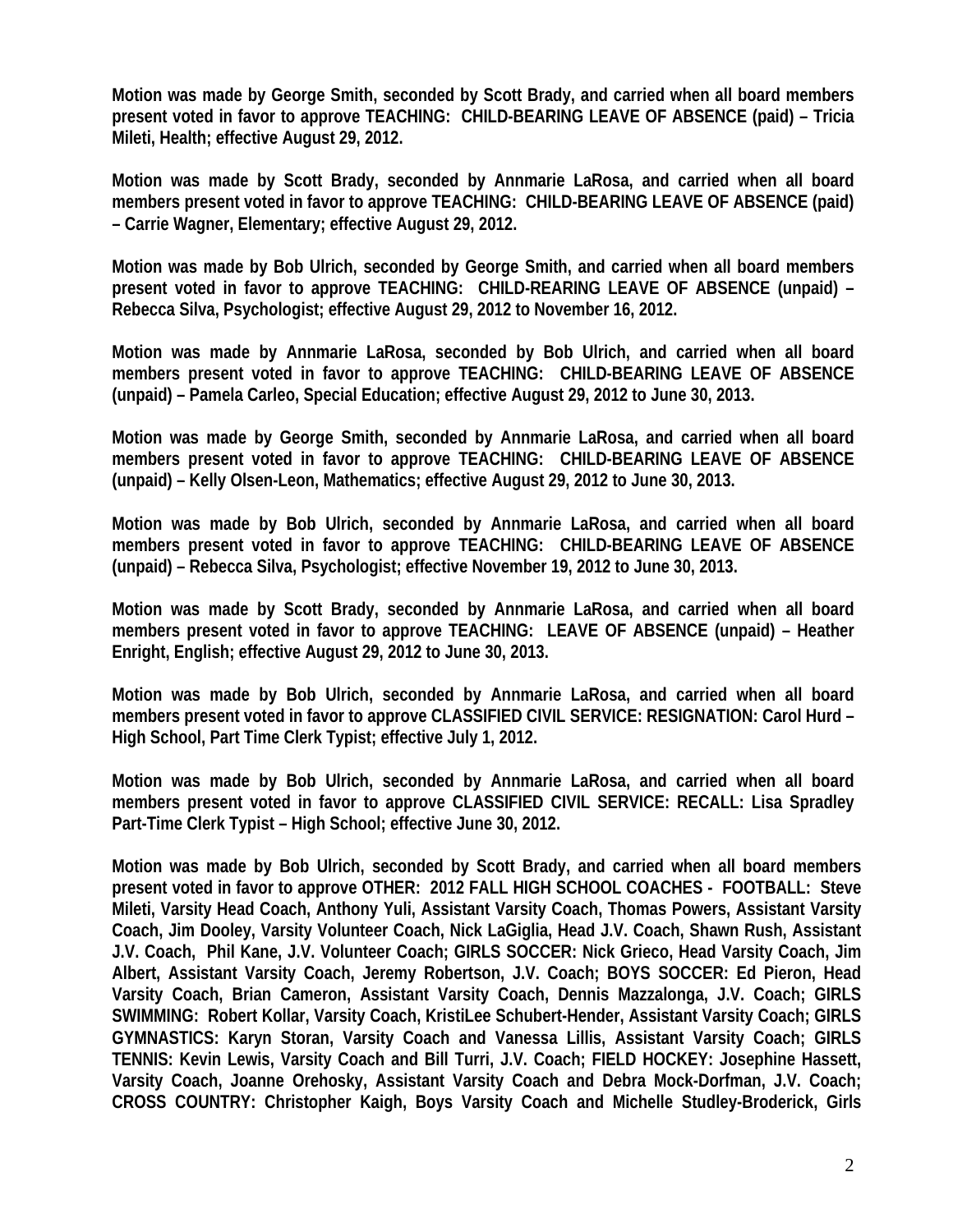**Motion was made by George Smith, seconded by Scott Brady, and carried when all board members present voted in favor to approve TEACHING: CHILD-BEARING LEAVE OF ABSENCE (paid) – Tricia Mileti, Health; effective August 29, 2012.** 

**Motion was made by Scott Brady, seconded by Annmarie LaRosa, and carried when all board members present voted in favor to approve TEACHING: CHILD-BEARING LEAVE OF ABSENCE (paid) – Carrie Wagner, Elementary; effective August 29, 2012.** 

**Motion was made by Bob Ulrich, seconded by George Smith, and carried when all board members present voted in favor to approve TEACHING: CHILD-REARING LEAVE OF ABSENCE (unpaid) – Rebecca Silva, Psychologist; effective August 29, 2012 to November 16, 2012.** 

**Motion was made by Annmarie LaRosa, seconded by Bob Ulrich, and carried when all board members present voted in favor to approve TEACHING: CHILD-BEARING LEAVE OF ABSENCE (unpaid) – Pamela Carleo, Special Education; effective August 29, 2012 to June 30, 2013.** 

**Motion was made by George Smith, seconded by Annmarie LaRosa, and carried when all board members present voted in favor to approve TEACHING: CHILD-BEARING LEAVE OF ABSENCE (unpaid) – Kelly Olsen-Leon, Mathematics; effective August 29, 2012 to June 30, 2013.** 

**Motion was made by Bob Ulrich, seconded by Annmarie LaRosa, and carried when all board members present voted in favor to approve TEACHING: CHILD-BEARING LEAVE OF ABSENCE (unpaid) – Rebecca Silva, Psychologist; effective November 19, 2012 to June 30, 2013.** 

**Motion was made by Scott Brady, seconded by Annmarie LaRosa, and carried when all board members present voted in favor to approve TEACHING: LEAVE OF ABSENCE (unpaid) – Heather Enright, English; effective August 29, 2012 to June 30, 2013.** 

**Motion was made by Bob Ulrich, seconded by Annmarie LaRosa, and carried when all board members present voted in favor to approve CLASSIFIED CIVIL SERVICE: RESIGNATION: Carol Hurd – High School, Part Time Clerk Typist; effective July 1, 2012.** 

**Motion was made by Bob Ulrich, seconded by Annmarie LaRosa, and carried when all board members present voted in favor to approve CLASSIFIED CIVIL SERVICE: RECALL: Lisa Spradley Part-Time Clerk Typist – High School; effective June 30, 2012.** 

**Motion was made by Bob Ulrich, seconded by Scott Brady, and carried when all board members present voted in favor to approve OTHER: 2012 FALL HIGH SCHOOL COACHES - FOOTBALL: Steve Mileti, Varsity Head Coach, Anthony Yuli, Assistant Varsity Coach, Thomas Powers, Assistant Varsity Coach, Jim Dooley, Varsity Volunteer Coach, Nick LaGiglia, Head J.V. Coach, Shawn Rush, Assistant J.V. Coach, Phil Kane, J.V. Volunteer Coach; GIRLS SOCCER: Nick Grieco, Head Varsity Coach, Jim Albert, Assistant Varsity Coach, Jeremy Robertson, J.V. Coach; BOYS SOCCER: Ed Pieron, Head Varsity Coach, Brian Cameron, Assistant Varsity Coach, Dennis Mazzalonga, J.V. Coach; GIRLS SWIMMING: Robert Kollar, Varsity Coach, KristiLee Schubert-Hender, Assistant Varsity Coach; GIRLS GYMNASTICS: Karyn Storan, Varsity Coach and Vanessa Lillis, Assistant Varsity Coach; GIRLS TENNIS: Kevin Lewis, Varsity Coach and Bill Turri, J.V. Coach; FIELD HOCKEY: Josephine Hassett, Varsity Coach, Joanne Orehosky, Assistant Varsity Coach and Debra Mock-Dorfman, J.V. Coach; CROSS COUNTRY: Christopher Kaigh, Boys Varsity Coach and Michelle Studley-Broderick, Girls**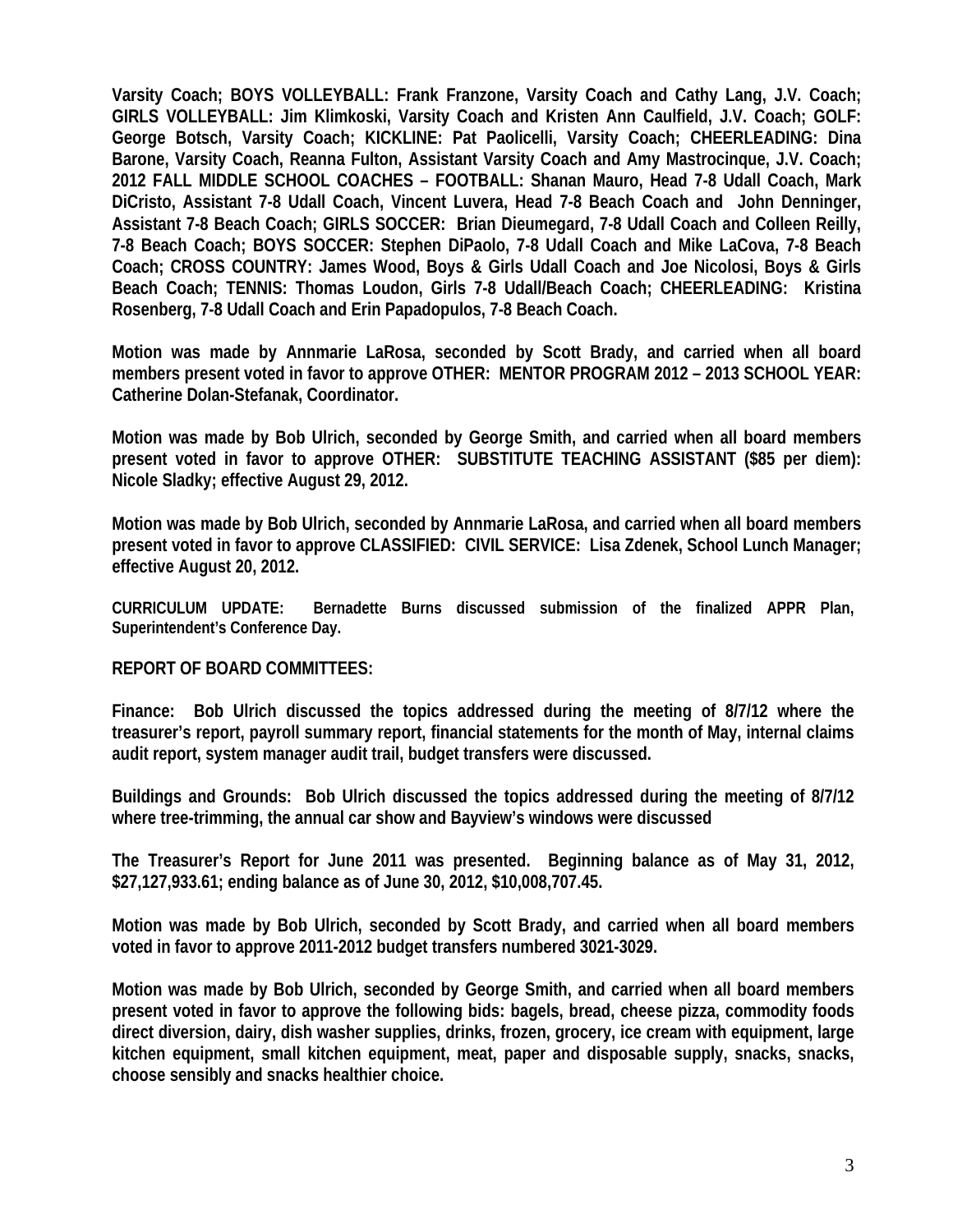**Varsity Coach; BOYS VOLLEYBALL: Frank Franzone, Varsity Coach and Cathy Lang, J.V. Coach; GIRLS VOLLEYBALL: Jim Klimkoski, Varsity Coach and Kristen Ann Caulfield, J.V. Coach; GOLF: George Botsch, Varsity Coach; KICKLINE: Pat Paolicelli, Varsity Coach; CHEERLEADING: Dina Barone, Varsity Coach, Reanna Fulton, Assistant Varsity Coach and Amy Mastrocinque, J.V. Coach; 2012 FALL MIDDLE SCHOOL COACHES – FOOTBALL: Shanan Mauro, Head 7-8 Udall Coach, Mark DiCristo, Assistant 7-8 Udall Coach, Vincent Luvera, Head 7-8 Beach Coach and John Denninger, Assistant 7-8 Beach Coach; GIRLS SOCCER: Brian Dieumegard, 7-8 Udall Coach and Colleen Reilly, 7-8 Beach Coach; BOYS SOCCER: Stephen DiPaolo, 7-8 Udall Coach and Mike LaCova, 7-8 Beach Coach; CROSS COUNTRY: James Wood, Boys & Girls Udall Coach and Joe Nicolosi, Boys & Girls Beach Coach; TENNIS: Thomas Loudon, Girls 7-8 Udall/Beach Coach; CHEERLEADING: Kristina Rosenberg, 7-8 Udall Coach and Erin Papadopulos, 7-8 Beach Coach.** 

**Motion was made by Annmarie LaRosa, seconded by Scott Brady, and carried when all board members present voted in favor to approve OTHER: MENTOR PROGRAM 2012 – 2013 SCHOOL YEAR: Catherine Dolan-Stefanak, Coordinator.** 

**Motion was made by Bob Ulrich, seconded by George Smith, and carried when all board members present voted in favor to approve OTHER: SUBSTITUTE TEACHING ASSISTANT (\$85 per diem): Nicole Sladky; effective August 29, 2012.** 

**Motion was made by Bob Ulrich, seconded by Annmarie LaRosa, and carried when all board members present voted in favor to approve CLASSIFIED: CIVIL SERVICE: Lisa Zdenek, School Lunch Manager; effective August 20, 2012.** 

**CURRICULUM UPDATE: Bernadette Burns discussed submission of the finalized APPR Plan, Superintendent's Conference Day.** 

## **REPORT OF BOARD COMMITTEES:**

**Finance: Bob Ulrich discussed the topics addressed during the meeting of 8/7/12 where the treasurer's report, payroll summary report, financial statements for the month of May, internal claims audit report, system manager audit trail, budget transfers were discussed.** 

**Buildings and Grounds: Bob Ulrich discussed the topics addressed during the meeting of 8/7/12 where tree-trimming, the annual car show and Bayview's windows were discussed** 

**The Treasurer's Report for June 2011 was presented. Beginning balance as of May 31, 2012, \$27,127,933.61; ending balance as of June 30, 2012, \$10,008,707.45.** 

**Motion was made by Bob Ulrich, seconded by Scott Brady, and carried when all board members voted in favor to approve 2011-2012 budget transfers numbered 3021-3029.** 

**Motion was made by Bob Ulrich, seconded by George Smith, and carried when all board members present voted in favor to approve the following bids: bagels, bread, cheese pizza, commodity foods direct diversion, dairy, dish washer supplies, drinks, frozen, grocery, ice cream with equipment, large kitchen equipment, small kitchen equipment, meat, paper and disposable supply, snacks, snacks, choose sensibly and snacks healthier choice.**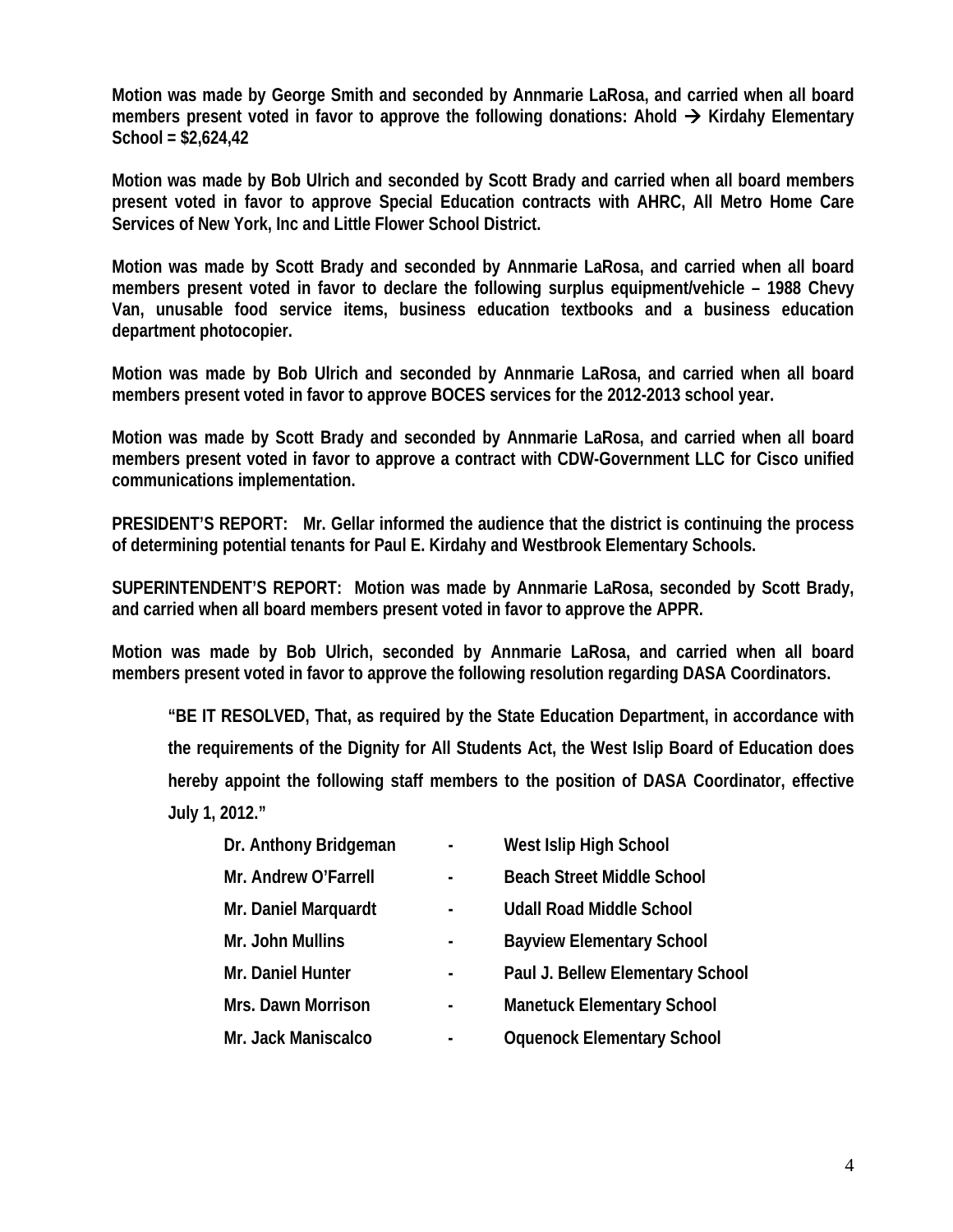**Motion was made by George Smith and seconded by Annmarie LaRosa, and carried when all board**  members present voted in favor to approve the following donations: Ahold → Kirdahy Elementary **School = \$2,624,42** 

**Motion was made by Bob Ulrich and seconded by Scott Brady and carried when all board members present voted in favor to approve Special Education contracts with AHRC, All Metro Home Care Services of New York, Inc and Little Flower School District.** 

**Motion was made by Scott Brady and seconded by Annmarie LaRosa, and carried when all board members present voted in favor to declare the following surplus equipment/vehicle – 1988 Chevy Van, unusable food service items, business education textbooks and a business education department photocopier.** 

**Motion was made by Bob Ulrich and seconded by Annmarie LaRosa, and carried when all board members present voted in favor to approve BOCES services for the 2012-2013 school year.** 

**Motion was made by Scott Brady and seconded by Annmarie LaRosa, and carried when all board members present voted in favor to approve a contract with CDW-Government LLC for Cisco unified communications implementation.** 

**PRESIDENT'S REPORT: Mr. Gellar informed the audience that the district is continuing the process of determining potential tenants for Paul E. Kirdahy and Westbrook Elementary Schools.** 

**SUPERINTENDENT'S REPORT: Motion was made by Annmarie LaRosa, seconded by Scott Brady, and carried when all board members present voted in favor to approve the APPR.** 

**Motion was made by Bob Ulrich, seconded by Annmarie LaRosa, and carried when all board members present voted in favor to approve the following resolution regarding DASA Coordinators.** 

**"BE IT RESOLVED, That, as required by the State Education Department, in accordance with the requirements of the Dignity for All Students Act, the West Islip Board of Education does hereby appoint the following staff members to the position of DASA Coordinator, effective July 1, 2012."** 

- **Dr. Anthony Bridgeman West Islip High School**
- Mr. Andrew O'Farrell **Andrew O'Farrell Reach Street Middle School**
- Mr. Daniel Marquardt  **And Allen Contained Middle School**
- 
- 
- 
- 
- 
- 
- Mr. John Mullins **Mr. John Mullins Fig. 2** Bayview Elementary School
- Mr. Daniel Hunter **No. 2018** Paul J. Bellew Elementary School
- Mrs. Dawn Morrison  **Manetuck Elementary School**
- Mr. Jack Maniscalco  **Access Communist Communist Communist Communist Communist Communist Communist Communist Communist Communist Communist Communist Communist Communist Communist Communist Communist Communist Communist**